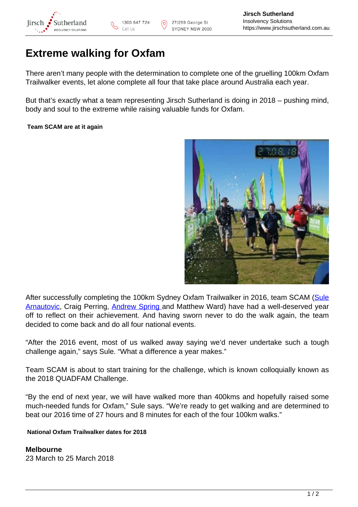

# **Extreme walking for Oxfam**

There aren't many people with the determination to complete one of the gruelling 100km Oxfam Trailwalker events, let alone complete all four that take place around Australia each year.

But that's exactly what a team representing Jirsch Sutherland is doing in 2018 – pushing mind, body and soul to the extreme while raising valuable funds for Oxfam.

## **Team SCAM are at it again**



After successfully completing the 100km Sydney Oxfam Trailwalker in 2016, team SCAM [\(Sule](https://www.jirschsutherland.com.au/people/sule-arnautovic/) [Arnautovic](https://www.jirschsutherland.com.au/people/sule-arnautovic/), Craig Perring, [Andrew Spring a](https://www.jirschsutherland.com.au/people/andrew-spring/)nd Matthew Ward) have had a well-deserved year off to reflect on their achievement. And having sworn never to do the walk again, the team decided to come back and do all four national events.

"After the 2016 event, most of us walked away saying we'd never undertake such a tough challenge again," says Sule. "What a difference a year makes."

Team SCAM is about to start training for the challenge, which is known colloquially known as the 2018 QUADFAM Challenge.

"By the end of next year, we will have walked more than 400kms and hopefully raised some much-needed funds for Oxfam," Sule says. "We're ready to get walking and are determined to beat our 2016 time of 27 hours and 8 minutes for each of the four 100km walks."

### **National Oxfam Trailwalker dates for 2018**

**Melbourne** 23 March to 25 March 2018